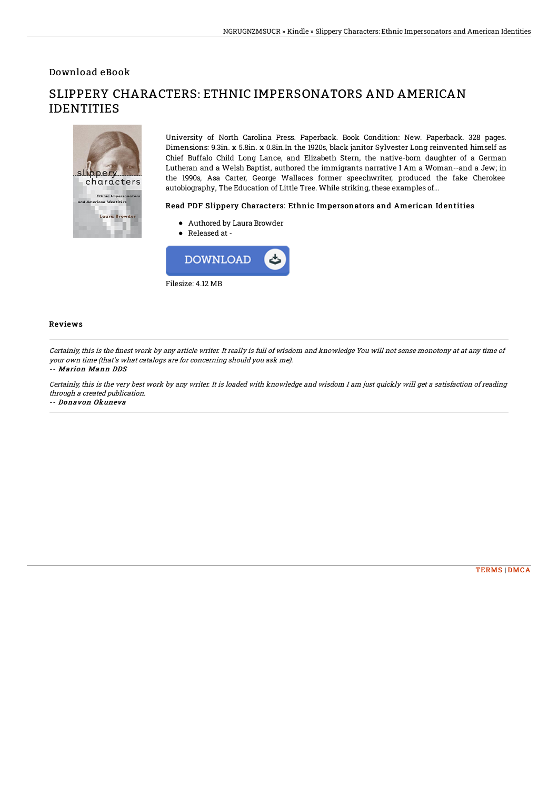Download eBook

# $s<sub>1</sub>$ ippery characters Ethnic Impersonato<br>rican Identities Laura Browder

## SLIPPERY CHARACTERS: ETHNIC IMPERSONATORS AND AMERICAN IDENTITIES

University of North Carolina Press. Paperback. Book Condition: New. Paperback. 328 pages. Dimensions: 9.3in. x 5.8in. x 0.8in.In the 1920s, black janitor Sylvester Long reinvented himself as Chief Buffalo Child Long Lance, and Elizabeth Stern, the native-born daughter of a German Lutheran and a Welsh Baptist, authored the immigrants narrative I Am a Woman--and a Jew; in the 1990s, Asa Carter, George Wallaces former speechwriter, produced the fake Cherokee autobiography, The Education of Little Tree. While striking, these examples of...

### Read PDF Slippery Characters: Ethnic Impersonators and American Identities

- Authored by Laura Browder
- Released at -



#### Reviews

Certainly, this is the finest work by any article writer. It really is full of wisdom and knowledge You will not sense monotony at at any time of your own time (that's what catalogs are for concerning should you ask me).

#### -- Marion Mann DDS

Certainly, this is the very best work by any writer. It is loaded with knowledge and wisdom I am just quickly will get <sup>a</sup> satisfaction of reading through <sup>a</sup> created publication.

-- Donavon Okuneva